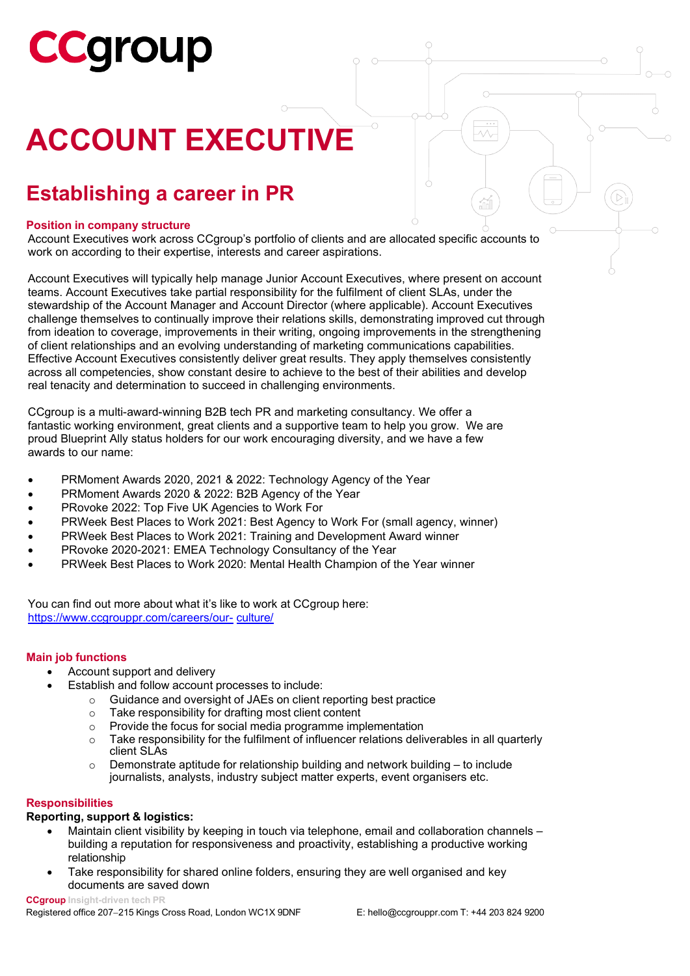# **CCgroup**

### **ACCOUNT EXECUTIVE**

### **Establishing a career in PR**

#### **Position in company structure**

Account Executives work across CCgroup's portfolio of clients and are allocated specific accounts to work on according to their expertise, interests and career aspirations.

Account Executives will typically help manage Junior Account Executives, where present on account teams. Account Executives take partial responsibility for the fulfilment of client SLAs, under the stewardship of the Account Manager and Account Director (where applicable). Account Executives challenge themselves to continually improve their relations skills, demonstrating improved cut through from ideation to coverage, improvements in their writing, ongoing improvements in the strengthening of client relationships and an evolving understanding of marketing communications capabilities. Effective Account Executives consistently deliver great results. They apply themselves consistently across all competencies, show constant desire to achieve to the best of their abilities and develop real tenacity and determination to succeed in challenging environments.

CCgroup is a multi-award-winning B2B tech PR and marketing consultancy. We offer a fantastic working environment, great clients and a supportive team to help you grow. We are proud Blueprint Ally status holders for our work encouraging diversity, and we have a few awards to our name:

- PRMoment Awards 2020, 2021 & 2022: Technology Agency of the Year
- PRMoment Awards 2020 & 2022: B2B Agency of the Year
- PRovoke 2022: Top Five UK Agencies to Work For
- PRWeek Best Places to Work 2021: Best Agency to Work For (small agency, winner)
- PRWeek Best Places to Work 2021: Training and Development Award winner
- PRovoke 2020-2021: EMEA Technology Consultancy of the Year
- PRWeek Best Places to Work 2020: Mental Health Champion of the Year winner

You can find out more about what it's like to work at CCgroup here: [https://www.ccgrouppr.com/careers/our-](https://www.ccgrouppr.com/careers/our-culture/) [culture/](https://www.ccgrouppr.com/careers/our-culture/)

#### **Main job functions**

- Account support and delivery
	- Establish and follow account processes to include:
		- o Guidance and oversight of JAEs on client reporting best practice
		- $\circ$  Take responsibility for drafting most client content  $\circ$  Provide the focus for social media programme imp
		- $\circ$  Provide the focus for social media programme implementation<br> $\circ$  Take responsibility for the fulfilment of influencer relations delivations
		- Take responsibility for the fulfilment of influencer relations deliverables in all quarterly client SLAs
		- $\circ$  Demonstrate aptitude for relationship building and network building to include journalists, analysts, industry subject matter experts, event organisers etc.

#### **Responsibilities**

#### **Reporting, support & logistics:**

- Maintain client visibility by keeping in touch via telephone, email and collaboration channels building a reputation for responsiveness and proactivity, establishing a productive working relationship
- Take responsibility for shared online folders, ensuring they are well organised and key documents are saved down

**CCgroup Insight-driven tech PR**

Registered office 207−215 Kings Cross Road, London WC1X 9DNF E: [hello@ccgrouppr.com](mailto:hello@ccgrouppr.com) T: +44 203 824 9200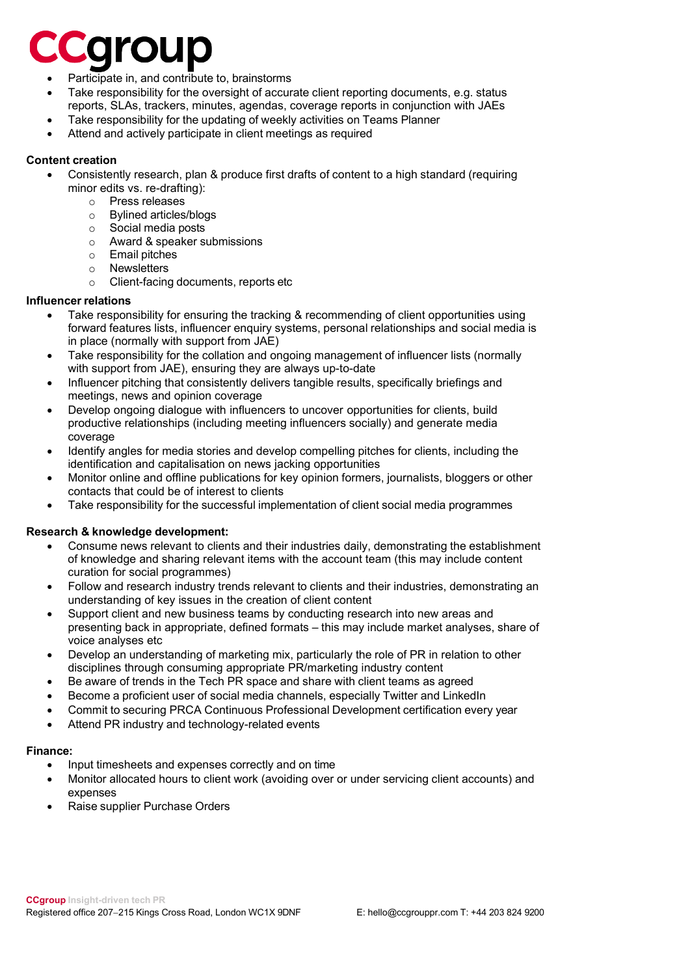### Caroup

- Participate in, and contribute to, brainstorms
- Take responsibility for the oversight of accurate client reporting documents, e.g. status reports, SLAs, trackers, minutes, agendas, coverage reports in conjunction with JAEs
- Take responsibility for the updating of weekly activities on Teams Planner
- Attend and actively participate in client meetings as required

#### **Content creation**

- Consistently research, plan & produce first drafts of content to a high standard (requiring minor edits vs. re-drafting):
	- o Press releases<br>o Bylined articles
	- Bylined articles/blogs<br>○ Social media posts
	- $\circ$  Social media posts<br> $\circ$  Award & speaker s
	- $\circ$  Award & speaker submissions<br>  $\circ$  Email pitches
	- **Email pitches**
	- o Newsletters<br>○ Client-facine
	- Client-facing documents, reports etc

#### **Influencer relations**

- Take responsibility for ensuring the tracking & recommending of client opportunities using forward features lists, influencer enquiry systems, personal relationships and social media is in place (normally with support from JAE)
- Take responsibility for the collation and ongoing management of influencer lists (normally with support from JAE), ensuring they are always up-to-date
- Influencer pitching that consistently delivers tangible results, specifically briefings and meetings, news and opinion coverage
- Develop ongoing dialogue with influencers to uncover opportunities for clients, build productive relationships (including meeting influencers socially) and generate media coverage
- Identify angles for media stories and develop compelling pitches for clients, including the identification and capitalisation on news jacking opportunities
- Monitor online and offline publications for key opinion formers, journalists, bloggers or other contacts that could be of interest to clients
- Take responsibility for the successful implementation of client social media programmes

#### **Research & knowledge development:**

- Consume news relevant to clients and their industries daily, demonstrating the establishment of knowledge and sharing relevant items with the account team (this may include content curation for social programmes)
- Follow and research industry trends relevant to clients and their industries, demonstrating an understanding of key issues in the creation of client content
- Support client and new business teams by conducting research into new areas and presenting back in appropriate, defined formats – this may include market analyses, share of voice analyses etc
- Develop an understanding of marketing mix, particularly the role of PR in relation to other disciplines through consuming appropriate PR/marketing industry content
- Be aware of trends in the Tech PR space and share with client teams as agreed
- Become a proficient user of social media channels, especially Twitter and LinkedIn
- Commit to securing PRCA Continuous Professional Development certification every year
- Attend PR industry and technology-related events

#### **Finance:**

- Input timesheets and expenses correctly and on time
- Monitor allocated hours to client work (avoiding over or under servicing client accounts) and expenses
- Raise supplier Purchase Orders